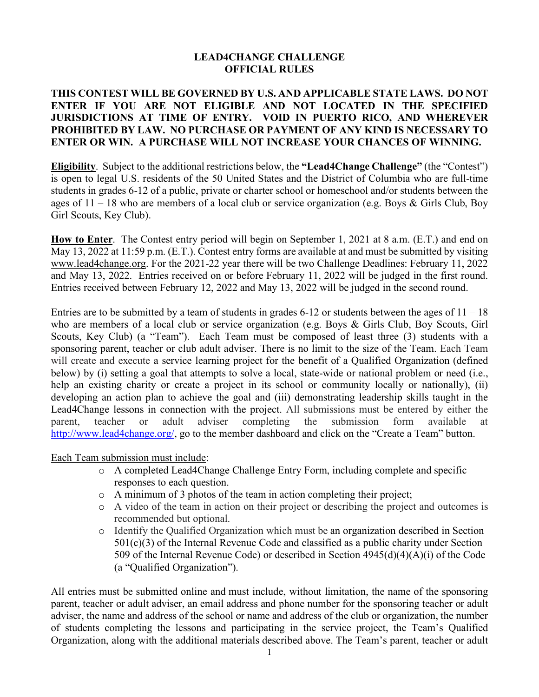## **LEAD4CHANGE CHALLENGE OFFICIAL RULES**

## **THIS CONTEST WILL BE GOVERNED BY U.S. AND APPLICABLE STATE LAWS. DO NOT ENTER IF YOU ARE NOT ELIGIBLE AND NOT LOCATED IN THE SPECIFIED JURISDICTIONS AT TIME OF ENTRY. VOID IN PUERTO RICO, AND WHEREVER PROHIBITED BY LAW. NO PURCHASE OR PAYMENT OF ANY KIND IS NECESSARY TO ENTER OR WIN. A PURCHASE WILL NOT INCREASE YOUR CHANCES OF WINNING.**

**Eligibility**. Subject to the additional restrictions below, the **"Lead4Change Challenge"** (the "Contest") is open to legal U.S. residents of the 50 United States and the District of Columbia who are full-time students in grades 6-12 of a public, private or charter school or homeschool and/or students between the ages of 11 – 18 who are members of a local club or service organization (e.g. Boys & Girls Club, Boy Girl Scouts, Key Club).

**How to Enter**. The Contest entry period will begin on September 1, 2021 at 8 a.m. (E.T.) and end on May 13, 2022 at 11:59 p.m. (E.T.). Contest entry forms are available at and must be submitted by visiting www.lead4change.org. For the 2021-22 year there will be two Challenge Deadlines: February 11, 2022 and May 13, 2022. Entries received on or before February 11, 2022 will be judged in the first round. Entries received between February 12, 2022 and May 13, 2022 will be judged in the second round.

Entries are to be submitted by a team of students in grades 6-12 or students between the ages of  $11 - 18$ who are members of a local club or service organization (e.g. Boys & Girls Club, Boy Scouts, Girl Scouts, Key Club) (a "Team"). Each Team must be composed of least three (3) students with a sponsoring parent, teacher or club adult adviser. There is no limit to the size of the Team. Each Team will create and execute a service learning project for the benefit of a Qualified Organization (defined below) by (i) setting a goal that attempts to solve a local, state-wide or national problem or need (i.e., help an existing charity or create a project in its school or community locally or nationally), (ii) developing an action plan to achieve the goal and (iii) demonstrating leadership skills taught in the Lead4Change lessons in connection with the project. All submissions must be entered by either the parent, teacher or adult adviser completing the submission form available at http://www.lead4change.org/, go to the member dashboard and click on the "Create a Team" button.

Each Team submission must include:

- o A completed Lead4Change Challenge Entry Form, including complete and specific responses to each question.
- o A minimum of 3 photos of the team in action completing their project;
- o A video of the team in action on their project or describing the project and outcomes is recommended but optional.
- o Identify the Qualified Organization which must be an organization described in Section  $501(c)(3)$  of the Internal Revenue Code and classified as a public charity under Section 509 of the Internal Revenue Code) or described in Section 4945(d)(4)(A)(i) of the Code (a "Qualified Organization").

All entries must be submitted online and must include, without limitation, the name of the sponsoring parent, teacher or adult adviser, an email address and phone number for the sponsoring teacher or adult adviser, the name and address of the school or name and address of the club or organization, the number of students completing the lessons and participating in the service project, the Team's Qualified Organization, along with the additional materials described above. The Team's parent, teacher or adult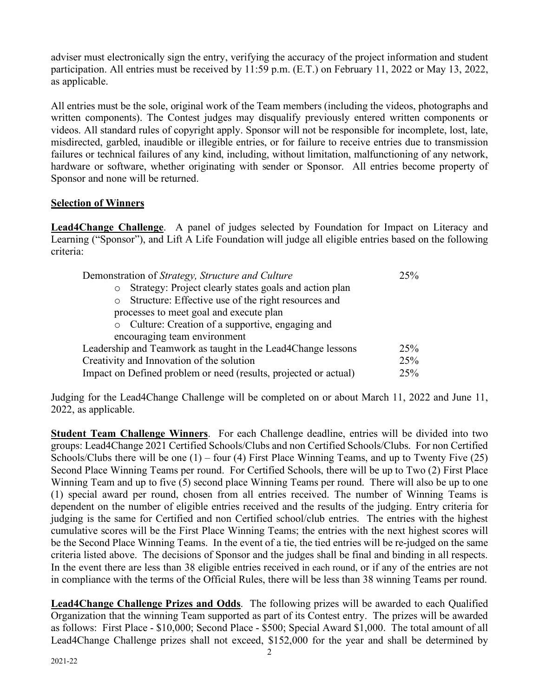adviser must electronically sign the entry, verifying the accuracy of the project information and student participation. All entries must be received by 11:59 p.m. (E.T.) on February 11, 2022 or May 13, 2022, as applicable.

All entries must be the sole, original work of the Team members (including the videos, photographs and written components). The Contest judges may disqualify previously entered written components or videos. All standard rules of copyright apply. Sponsor will not be responsible for incomplete, lost, late, misdirected, garbled, inaudible or illegible entries, or for failure to receive entries due to transmission failures or technical failures of any kind, including, without limitation, malfunctioning of any network, hardware or software, whether originating with sender or Sponsor.All entries become property of Sponsor and none will be returned.

## **Selection of Winners**

**Lead4Change Challenge**. A panel of judges selected by Foundation for Impact on Literacy and Learning ("Sponsor"), and Lift A Life Foundation will judge all eligible entries based on the following criteria:

| Demonstration of Strategy, Structure and Culture                  | 25% |
|-------------------------------------------------------------------|-----|
| Strategy: Project clearly states goals and action plan<br>$\circ$ |     |
| Structure: Effective use of the right resources and<br>$\circ$    |     |
| processes to meet goal and execute plan                           |     |
| o Culture: Creation of a supportive, engaging and                 |     |
| encouraging team environment                                      |     |
| Leadership and Teamwork as taught in the Lead4Change lessons      | 25% |
| Creativity and Innovation of the solution                         | 25% |
| Impact on Defined problem or need (results, projected or actual)  | 25% |

Judging for the Lead4Change Challenge will be completed on or about March 11, 2022 and June 11, 2022, as applicable.

**Student Team Challenge Winners**. For each Challenge deadline, entries will be divided into two groups: Lead4Change 2021 Certified Schools/Clubs and non Certified Schools/Clubs. For non Certified Schools/Clubs there will be one  $(1)$  – four  $(4)$  First Place Winning Teams, and up to Twenty Five  $(25)$ Second Place Winning Teams per round. For Certified Schools, there will be up to Two (2) First Place Winning Team and up to five (5) second place Winning Teams per round. There will also be up to one (1) special award per round, chosen from all entries received. The number of Winning Teams is dependent on the number of eligible entries received and the results of the judging. Entry criteria for judging is the same for Certified and non Certified school/club entries. The entries with the highest cumulative scores will be the First Place Winning Teams; the entries with the next highest scores will be the Second Place Winning Teams. In the event of a tie, the tied entries will be re-judged on the same criteria listed above. The decisions of Sponsor and the judges shall be final and binding in all respects. In the event there are less than 38 eligible entries received in each round, or if any of the entries are not in compliance with the terms of the Official Rules, there will be less than 38 winning Teams per round.

**Lead4Change Challenge Prizes and Odds**. The following prizes will be awarded to each Qualified Organization that the winning Team supported as part of its Contest entry. The prizes will be awarded as follows: First Place - \$10,000; Second Place - \$500; Special Award \$1,000. The total amount of all Lead4Change Challenge prizes shall not exceed, \$152,000 for the year and shall be determined by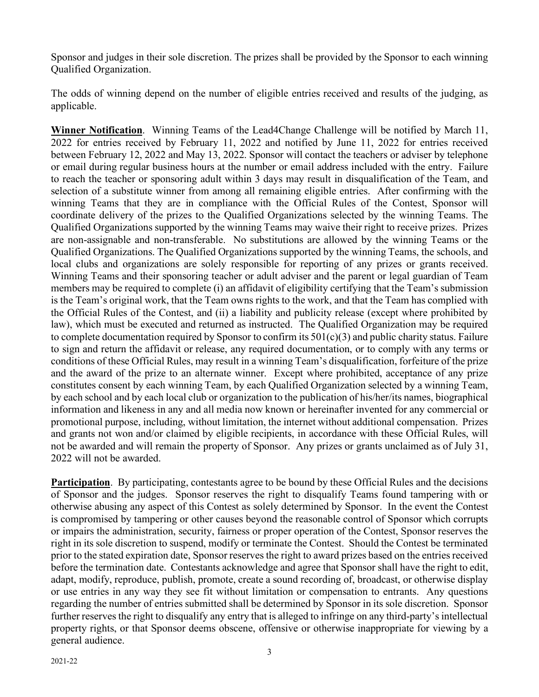Sponsor and judges in their sole discretion. The prizes shall be provided by the Sponsor to each winning Qualified Organization.

The odds of winning depend on the number of eligible entries received and results of the judging, as applicable.

**Winner Notification**. Winning Teams of the Lead4Change Challenge will be notified by March 11, 2022 for entries received by February 11, 2022 and notified by June 11, 2022 for entries received between February 12, 2022 and May 13, 2022. Sponsor will contact the teachers or adviser by telephone or email during regular business hours at the number or email address included with the entry. Failure to reach the teacher or sponsoring adult within 3 days may result in disqualification of the Team, and selection of a substitute winner from among all remaining eligible entries. After confirming with the winning Teams that they are in compliance with the Official Rules of the Contest, Sponsor will coordinate delivery of the prizes to the Qualified Organizations selected by the winning Teams. The Qualified Organizations supported by the winning Teams may waive their right to receive prizes. Prizes are non-assignable and non-transferable. No substitutions are allowed by the winning Teams or the Qualified Organizations. The Qualified Organizations supported by the winning Teams, the schools, and local clubs and organizations are solely responsible for reporting of any prizes or grants received. Winning Teams and their sponsoring teacher or adult adviser and the parent or legal guardian of Team members may be required to complete (i) an affidavit of eligibility certifying that the Team's submission is the Team's original work, that the Team owns rights to the work, and that the Team has complied with the Official Rules of the Contest, and (ii) a liability and publicity release (except where prohibited by law), which must be executed and returned as instructed. The Qualified Organization may be required to complete documentation required by Sponsor to confirm its 501(c)(3) and public charity status. Failure to sign and return the affidavit or release, any required documentation, or to comply with any terms or conditions of these Official Rules, may result in a winning Team's disqualification, forfeiture of the prize and the award of the prize to an alternate winner. Except where prohibited, acceptance of any prize constitutes consent by each winning Team, by each Qualified Organization selected by a winning Team, by each school and by each local club or organization to the publication of his/her/its names, biographical information and likeness in any and all media now known or hereinafter invented for any commercial or promotional purpose, including, without limitation, the internet without additional compensation. Prizes and grants not won and/or claimed by eligible recipients, in accordance with these Official Rules, will not be awarded and will remain the property of Sponsor. Any prizes or grants unclaimed as of July 31, 2022 will not be awarded.

**Participation**. By participating, contestants agree to be bound by these Official Rules and the decisions of Sponsor and the judges. Sponsor reserves the right to disqualify Teams found tampering with or otherwise abusing any aspect of this Contest as solely determined by Sponsor. In the event the Contest is compromised by tampering or other causes beyond the reasonable control of Sponsor which corrupts or impairs the administration, security, fairness or proper operation of the Contest, Sponsor reserves the right in its sole discretion to suspend, modify or terminate the Contest. Should the Contest be terminated prior to the stated expiration date, Sponsor reserves the right to award prizes based on the entries received before the termination date. Contestants acknowledge and agree that Sponsor shall have the right to edit, adapt, modify, reproduce, publish, promote, create a sound recording of, broadcast, or otherwise display or use entries in any way they see fit without limitation or compensation to entrants. Any questions regarding the number of entries submitted shall be determined by Sponsor in its sole discretion. Sponsor further reserves the right to disqualify any entry that is alleged to infringe on any third-party's intellectual property rights, or that Sponsor deems obscene, offensive or otherwise inappropriate for viewing by a general audience.